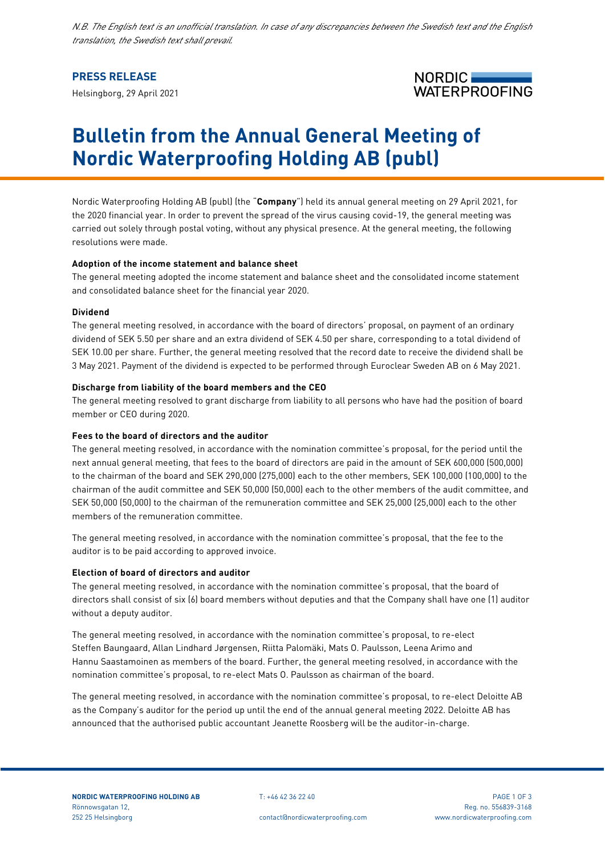*N.B. The English text is an unofficial translation. In case of any discrepancies between the Swedish text and the English translation, the Swedish text shall prevail.*

## **PRESS RELEASE**

Helsingborg, 29 April 2021



# **Bulletin from the Annual General Meeting of Nordic Waterproofing Holding AB (publ)**

Nordic Waterproofing Holding AB (publ) (the "**Company**") held its annual general meeting on 29 April 2021, for the 2020 financial year. In order to prevent the spread of the virus causing covid-19, the general meeting was carried out solely through postal voting, without any physical presence. At the general meeting, the following resolutions were made.

## **Adoption of the income statement and balance sheet**

The general meeting adopted the income statement and balance sheet and the consolidated income statement and consolidated balance sheet for the financial year 2020.

## **Dividend**

The general meeting resolved, in accordance with the board of directors' proposal, on payment of an ordinary dividend of SEK 5.50 per share and an extra dividend of SEK 4.50 per share, corresponding to a total dividend of SEK 10.00 per share. Further, the general meeting resolved that the record date to receive the dividend shall be 3 May 2021. Payment of the dividend is expected to be performed through Euroclear Sweden AB on 6 May 2021.

## **Discharge from liability of the board members and the CEO**

The general meeting resolved to grant discharge from liability to all persons who have had the position of board member or CEO during 2020.

## **Fees to the board of directors and the auditor**

The general meeting resolved, in accordance with the nomination committee's proposal, for the period until the next annual general meeting, that fees to the board of directors are paid in the amount of SEK 600,000 (500,000) to the chairman of the board and SEK 290,000 (275,000) each to the other members, SEK 100,000 (100,000) to the chairman of the audit committee and SEK 50,000 (50,000) each to the other members of the audit committee, and SEK 50,000 (50,000) to the chairman of the remuneration committee and SEK 25,000 (25,000) each to the other members of the remuneration committee.

The general meeting resolved, in accordance with the nomination committee's proposal, that the fee to the auditor is to be paid according to approved invoice.

## **Election of board of directors and auditor**

The general meeting resolved, in accordance with the nomination committee's proposal, that the board of directors shall consist of six (6) board members without deputies and that the Company shall have one (1) auditor without a deputy auditor.

The general meeting resolved, in accordance with the nomination committee's proposal, to re-elect Steffen Baungaard, Allan Lindhard Jørgensen, Riitta Palomäki, Mats O. Paulsson, Leena Arimo and Hannu Saastamoinen as members of the board. Further, the general meeting resolved, in accordance with the nomination committee's proposal, to re-elect Mats O. Paulsson as chairman of the board.

The general meeting resolved, in accordance with the nomination committee's proposal, to re-elect Deloitte AB as the Company's auditor for the period up until the end of the annual general meeting 2022. Deloitte AB has announced that the authorised public accountant Jeanette Roosberg will be the auditor-in-charge.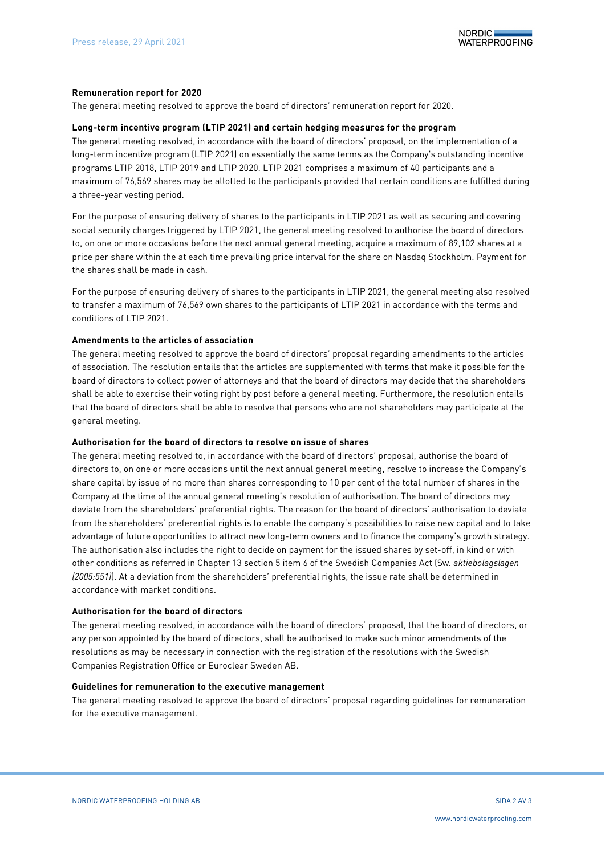

### **Remuneration report for 2020**

The general meeting resolved to approve the board of directors' remuneration report for 2020.

## **Long-term incentive program (LTIP 2021) and certain hedging measures for the program**

The general meeting resolved, in accordance with the board of directors' proposal, on the implementation of a long-term incentive program (LTIP 2021) on essentially the same terms as the Company's outstanding incentive programs LTIP 2018, LTIP 2019 and LTIP 2020. LTIP 2021 comprises a maximum of 40 participants and a maximum of 76,569 shares may be allotted to the participants provided that certain conditions are fulfilled during a three-year vesting period.

For the purpose of ensuring delivery of shares to the participants in LTIP 2021 as well as securing and covering social security charges triggered by LTIP 2021, the general meeting resolved to authorise the board of directors to, on one or more occasions before the next annual general meeting, acquire a maximum of 89,102 shares at a price per share within the at each time prevailing price interval for the share on Nasdaq Stockholm. Payment for the shares shall be made in cash.

For the purpose of ensuring delivery of shares to the participants in LTIP 2021, the general meeting also resolved to transfer a maximum of 76,569 own shares to the participants of LTIP 2021 in accordance with the terms and conditions of LTIP 2021.

## **Amendments to the articles of association**

The general meeting resolved to approve the board of directors' proposal regarding amendments to the articles of association. The resolution entails that the articles are supplemented with terms that make it possible for the board of directors to collect power of attorneys and that the board of directors may decide that the shareholders shall be able to exercise their voting right by post before a general meeting. Furthermore, the resolution entails that the board of directors shall be able to resolve that persons who are not shareholders may participate at the general meeting.

## **Authorisation for the board of directors to resolve on issue of shares**

The general meeting resolved to, in accordance with the board of directors' proposal, authorise the board of directors to, on one or more occasions until the next annual general meeting, resolve to increase the Company's share capital by issue of no more than shares corresponding to 10 per cent of the total number of shares in the Company at the time of the annual general meeting's resolution of authorisation. The board of directors may deviate from the shareholders' preferential rights. The reason for the board of directors' authorisation to deviate from the shareholders' preferential rights is to enable the company's possibilities to raise new capital and to take advantage of future opportunities to attract new long-term owners and to finance the company's growth strategy. The authorisation also includes the right to decide on payment for the issued shares by set-off, in kind or with other conditions as referred in Chapter 13 section 5 item 6 of the Swedish Companies Act (Sw*. aktiebolagslagen (2005:551)*). At a deviation from the shareholders' preferential rights, the issue rate shall be determined in accordance with market conditions.

## **Authorisation for the board of directors**

The general meeting resolved, in accordance with the board of directors' proposal, that the board of directors, or any person appointed by the board of directors, shall be authorised to make such minor amendments of the resolutions as may be necessary in connection with the registration of the resolutions with the Swedish Companies Registration Office or Euroclear Sweden AB.

#### **Guidelines for remuneration to the executive management**

The general meeting resolved to approve the board of directors' proposal regarding guidelines for remuneration for the executive management.